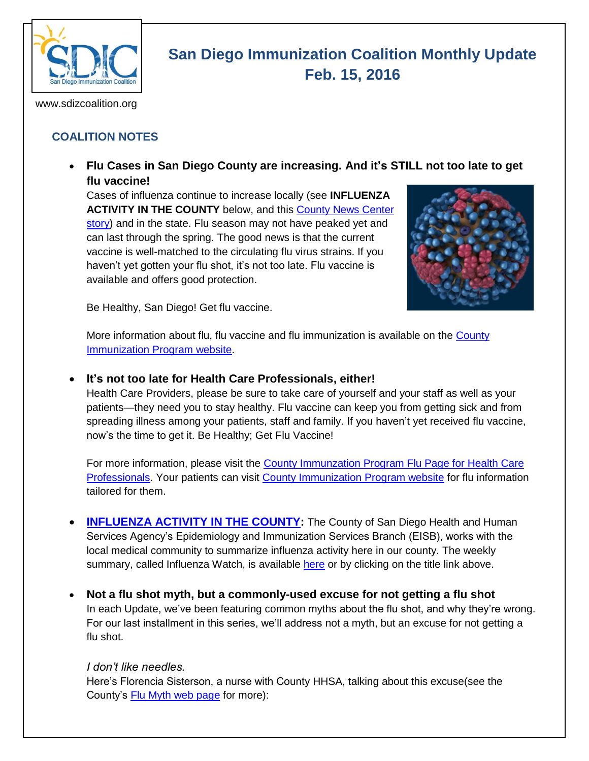

# **San Diego Immunization Coalition Monthly Update Feb. 15, 2016**

www.sdizcoalition.org

## **COALITION NOTES**

 **Flu Cases in San Diego County are increasing. And it's STILL not too late to get flu vaccine!**

Cases of influenza continue to increase locally (see **INFLUENZA ACTIVITY IN THE COUNTY** below, and this [County News Center](http://www.countynewscenter.com/news/local-flu-season-worsening)  [story\)](http://www.countynewscenter.com/news/local-flu-season-worsening) and in the state. Flu season may not have peaked yet and can last through the spring. The good news is that the current vaccine is well-matched to the circulating flu virus strains. If you haven't yet gotten your flu shot, it's not too late. Flu vaccine is available and offers good protection.



Be Healthy, San Diego! Get flu vaccine.

More information about flu, flu vaccine and flu immunization is available on the [County](http://www.sdiz.org/Community/Features/Flu-2015-2016.html)  [Immunization Program website.](http://www.sdiz.org/Community/Features/Flu-2015-2016.html)

#### **It's not too late for Health Care Professionals, either!**

Health Care Providers, please be sure to take care of yourself and your staff as well as your patients—they need you to stay healthy. Flu vaccine can keep you from getting sick and from spreading illness among your patients, staff and family. If you haven't yet received flu vaccine, now's the time to get it. Be Healthy; Get Flu Vaccine!

For more information, please visit the [County Immunzation Program Flu Page for Health Care](http://www.sdiz.org/HealthcarePros/Flu--provider-2015-16.html)  [Professionals.](http://www.sdiz.org/HealthcarePros/Flu--provider-2015-16.html) Your patients can visit [County Immunization Program website](http://www.sdiz.org/Community/Features/Flu-2015-2016.html) for flu information tailored for them.

- **[INFLUENZA ACTIVITY IN THE COUNTY:](http://www.sandiegocounty.gov/content/dam/sdc/hhsa/programs/phs/documents/InfluenzaWatch.pdf)** The County of San Diego Health and Human Services Agency's Epidemiology and Immunization Services Branch (EISB), works with the local medical community to summarize influenza activity here in our county. The weekly summary, called Influenza Watch, is available [here](http://www.sandiegocounty.gov/content/dam/sdc/hhsa/programs/phs/documents/InfluenzaWatch.pdf) or by clicking on the title link above.
- **Not a flu shot myth, but a commonly-used excuse for not getting a flu shot** In each Update, we've been featuring common myths about the flu shot, and why they're wrong. For our last installment in this series, we'll address not a myth, but an excuse for not getting a flu shot.

#### *I don't like needles.*

Here's Florencia Sisterson, a nurse with County HHSA, talking about this excuse(see the County's **Flu Myth web page** for more):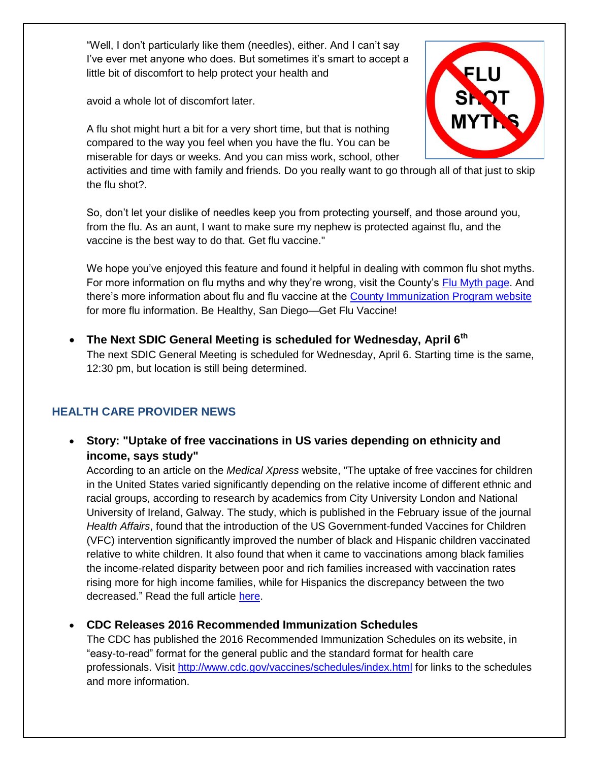"Well, I don't particularly like them (needles), either. And I can't say I've ever met anyone who does. But sometimes it's smart to accept a little bit of discomfort to help protect your health and

avoid a whole lot of discomfort later.

A flu shot might hurt a bit for a very short time, but that is nothing compared to the way you feel when you have the flu. You can be miserable for days or weeks. And you can miss work, school, other



activities and time with family and friends. Do you really want to go through all of that just to skip the flu shot?.

So, don't let your dislike of needles keep you from protecting yourself, and those around you, from the flu. As an aunt, I want to make sure my nephew is protected against flu, and the vaccine is the best way to do that. Get flu vaccine."

We hope you've enjoyed this feature and found it helpful in dealing with common flu shot myths. For more information on flu myths and why they're wrong, visit the County's [Flu Myth page.](https://insight.livestories.com/s/debunking-common-flu-vaccine-myths/561fdc42a750b378cac5af6a/) And there's more information about flu and flu vaccine at the [County Immunization Program website](http://www.sdiz.org/Community/Features/Flu-2015-2016-clinics.html) for more flu information. Be Healthy, San Diego—Get Flu Vaccine!

 **The Next SDIC General Meeting is scheduled for Wednesday, April 6th**  The next SDIC General Meeting is scheduled for Wednesday, April 6. Starting time is the same, 12:30 pm, but location is still being determined.

## **HEALTH CARE PROVIDER NEWS**

 **Story: "Uptake of free vaccinations in US varies depending on ethnicity and income, says study"**

According to an article on the *Medical Xpress* website, "The uptake of free vaccines for children in the United States varied significantly depending on the relative income of different ethnic and racial groups, according to research by academics from City University London and National University of Ireland, Galway. The study, which is published in the February issue of the journal *Health Affairs*, found that the introduction of the US Government-funded Vaccines for Children (VFC) intervention significantly improved the number of black and Hispanic children vaccinated relative to white children. It also found that when it came to vaccinations among black families the income-related disparity between poor and rich families increased with vaccination rates rising more for high income families, while for Hispanics the discrepancy between the two decreased." Read the full article [here.](http://medicalxpress.com/news/2016-02-uptake-free-vaccinations-varies-ethnicity.html)

## **CDC Releases 2016 Recommended Immunization Schedules**

The CDC has published the 2016 Recommended Immunization Schedules on its website, in "easy-to-read" format for the general public and the standard format for health care professionals. Visit<http://www.cdc.gov/vaccines/schedules/index.html> for links to the schedules and more information.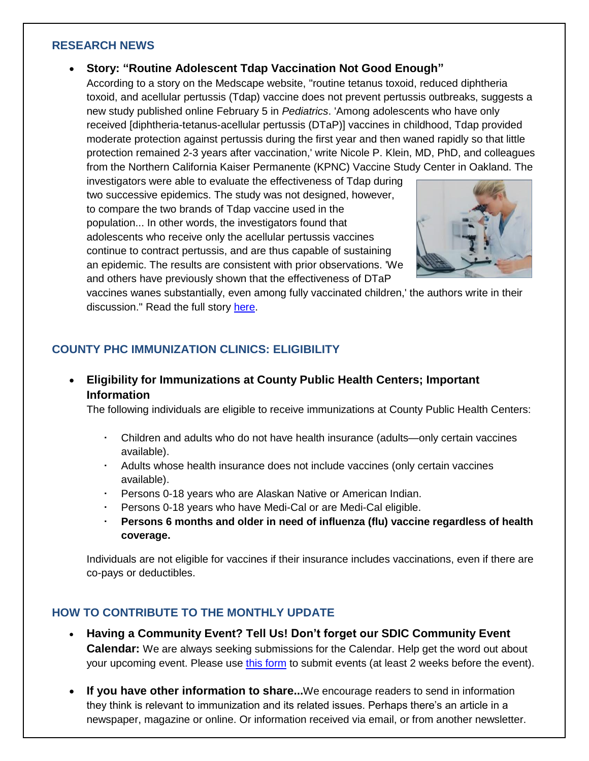#### **RESEARCH NEWS**

#### **Story: "Routine Adolescent Tdap Vaccination Not Good Enough"**

According to a story on the Medscape website, "routine tetanus toxoid, reduced diphtheria toxoid, and acellular pertussis (Tdap) vaccine does not prevent pertussis outbreaks, suggests a new study published online February 5 in *Pediatrics*. 'Among adolescents who have only received [diphtheria-tetanus-acellular pertussis (DTaP)] vaccines in childhood, Tdap provided moderate protection against pertussis during the first year and then waned rapidly so that little protection remained 2-3 years after vaccination,' write Nicole P. Klein, MD, PhD, and colleagues from the Northern California Kaiser Permanente (KPNC) Vaccine Study Center in Oakland. The

investigators were able to evaluate the effectiveness of Tdap during two successive epidemics. The study was not designed, however, to compare the two brands of Tdap vaccine used in the population... In other words, the investigators found that adolescents who receive only the acellular pertussis vaccines continue to contract pertussis, and are thus capable of sustaining an epidemic. The results are consistent with prior observations. 'We and others have previously shown that the effectiveness of DTaP



vaccines wanes substantially, even among fully vaccinated children,' the authors write in their discussion." Read the full story [here.](http://www.medscape.com/viewarticle/858309)

### **COUNTY PHC IMMUNIZATION CLINICS: ELIGIBILITY**

 **Eligibility for Immunizations at County Public Health Centers; Important Information** 

The following individuals are eligible to receive immunizations at County Public Health Centers:

- Children and adults who do not have health insurance (adults—only certain vaccines available).
- Adults whose health insurance does not include vaccines (only certain vaccines available).
- Persons 0-18 years who are Alaskan Native or American Indian.
- Persons 0-18 years who have Medi-Cal or are Medi-Cal eligible.
- **Persons 6 months and older in need of influenza (flu) vaccine regardless of health coverage.**

Individuals are not eligible for vaccines if their insurance includes vaccinations, even if there are co-pays or deductibles.

#### **HOW TO CONTRIBUTE TO THE MONTHLY UPDATE**

- **Having a Community Event? Tell Us! Don't forget our SDIC Community Event Calendar:** We are always seeking submissions for the Calendar. Help get the word out about your upcoming event. Please use [this form](http://www.sdizcoalition.org/event-form.asp) to submit events (at least 2 weeks before the event).
- **If you have other information to share...**We encourage readers to send in information they think is relevant to immunization and its related issues. Perhaps there's an article in a newspaper, magazine or online. Or information received via email, or from another newsletter.